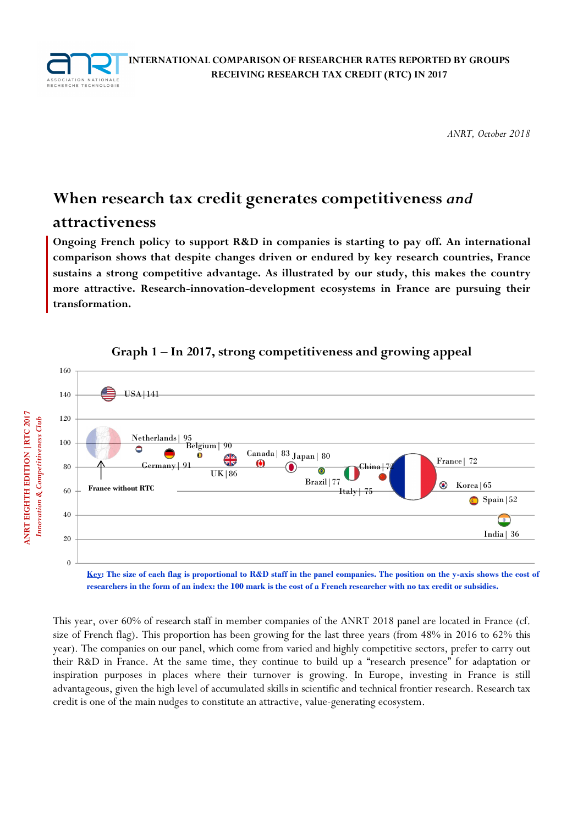

*ANRT, October 2018* 

# **When research tax credit generates competitiveness** *and*

# **attractiveness**

**Ongoing French policy to support R&D in companies is starting to pay off. An international comparison shows that despite changes driven or endured by key research countries, France sustains a strong competitive advantage. As illustrated by our study, this makes the country more attractive. Research-innovation-development ecosystems in France are pursuing their transformation.** 



## **Graph 1 – In 2017, strong competitiveness and growing appeal**

**Key: The size of each flag is proportional to R&D staff in the panel companies. The position on the y-axis shows the cost of researchers in the form of an index: the 100 mark is the cost of a French researcher with no tax credit or subsidies.** 

This year, over 60% of research staff in member companies of the ANRT 2018 panel are located in France (cf. size of French flag). This proportion has been growing for the last three years (from 48% in 2016 to 62% this year). The companies on our panel, which come from varied and highly competitive sectors, prefer to carry out their R&D in France. At the same time, they continue to build up a "research presence" for adaptation or inspiration purposes in places where their turnover is growing. In Europe, investing in France is still advantageous, given the high level of accumulated skills in scientific and technical frontier research. Research tax credit is one of the main nudges to constitute an attractive, value-generating ecosystem.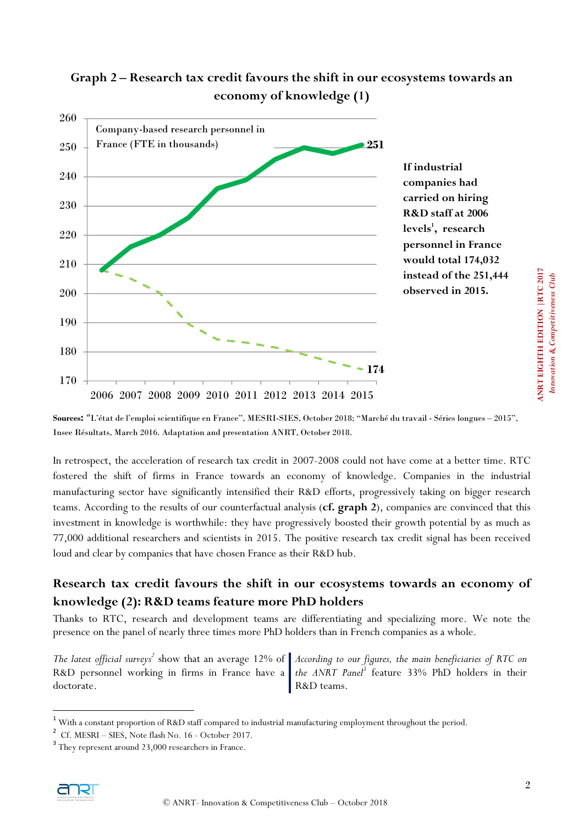

# **Graph 2 – Research tax credit favours the shift in our ecosystems towards an economy of knowledge (1)**

**Sources:** "L'état de l'emploi scientifique en France", MESRI-SIES, October 2018; "Marché du travail - Séries longues – 2015", Insee Résultats, March 2016. Adaptation and presentation ANRT, October 2018.

In retrospect, the acceleration of research tax credit in 2007-2008 could not have come at a better time. RTC fostered the shift of firms in France towards an economy of knowledge. Companies in the industrial manufacturing sector have significantly intensified their R&D efforts, progressively taking on bigger research teams. According to the results of our counterfactual analysis (**cf. graph 2**), companies are convinced that this investment in knowledge is worthwhile: they have progressively boosted their growth potential by as much as 77,000 additional researchers and scientists in 2015. The positive research tax credit signal has been received loud and clear by companies that have chosen France as their R&D hub.

# **Research tax credit favours the shift in our ecosystems towards an economy of knowledge (2): R&D teams feature more PhD holders**

Thanks to RTC, research and development teams are differentiating and specializing more. We note the presence on the panel of nearly three times more PhD holders than in French companies as a whole.

*The latest official surveys<sup>2</sup>* show that an average 12% of *According to our figures, the main beneficiaries of RTC on*  R&D personnel working in firms in France have a the ANRT Panel<sup>3</sup> feature 33% PhD holders in their doctorate. R&D teams.

 $\overline{a}$ 

ANRT EIGHTH EDITION | RTC 2017 **ANRT EIGHTH EDITION |RTC 2017**  *Innovation & Competitiveness Club* Innovation & Competitiveness Club

<sup>1</sup> With a constant proportion of R&D staff compared to industrial manufacturing employment throughout the period.

<sup>&</sup>lt;sup>2</sup> Cf. MESRI – SIES, Note flash No. 16 - October 2017.

<sup>&</sup>lt;sup>3</sup> They represent around 23,000 researchers in France.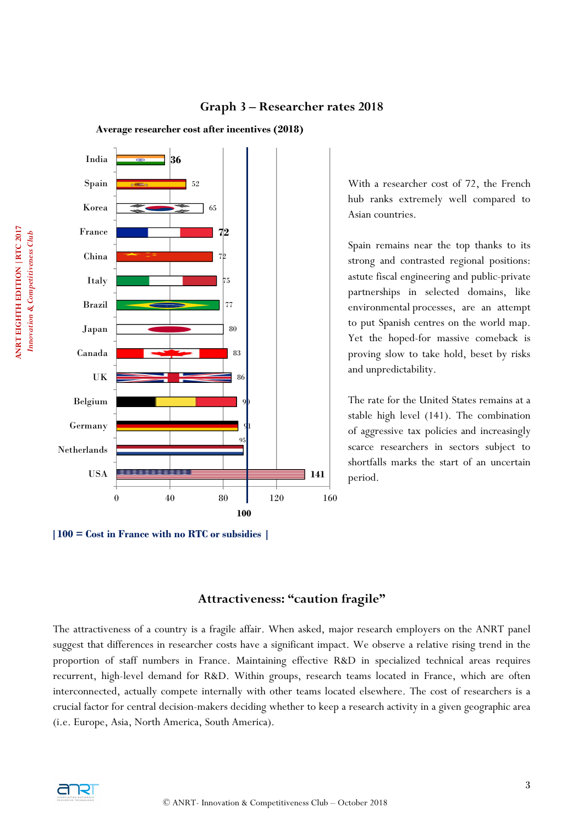

# **Graph 3 – Researcher rates 2018**

With a researcher cost of 72, the French hub ranks extremely well compared to Asian countries.

Spain remains near the top thanks to its strong and contrasted regional positions: astute fiscal engineering and public-private partnerships in selected domains, like environmental processes, are an attempt to put Spanish centres on the world map. Yet the hoped-for massive comeback is proving slow to take hold, beset by risks and unpredictability.

The rate for the United States remains at a stable high level (141). The combination of aggressive tax policies and increasingly scarce researchers in sectors subject to shortfalls marks the start of an uncertain period.

## **|100 = Cost in France with no RTC or subsidies |**

## **Attractiveness: "caution fragile"**

The attractiveness of a country is a fragile affair. When asked, major research employers on the ANRT panel suggest that differences in researcher costs have a significant impact. We observe a relative rising trend in the proportion of staff numbers in France. Maintaining effective R&D in specialized technical areas requires recurrent, high-level demand for R&D. Within groups, research teams located in France, which are often interconnected, actually compete internally with other teams located elsewhere. The cost of researchers is a crucial factor for central decision-makers deciding whether to keep a research activity in a given geographic area (i.e. Europe, Asia, North America, South America).

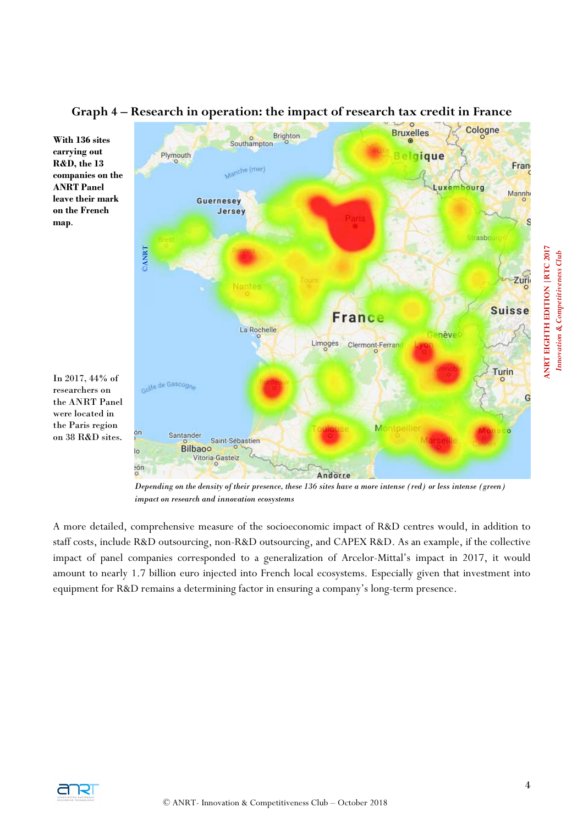

# **Graph 4 – Research in operation: the impact of research tax credit in France**

*Depending on the density of their presence, these 136 sites have a more intense (red) or less intense (green) impact on research and innovation ecosystems* 

A more detailed, comprehensive measure of the socioeconomic impact of R&D centres would, in addition to staff costs, include R&D outsourcing, non-R&D outsourcing, and CAPEX R&D. As an example, if the collective impact of panel companies corresponded to a generalization of Arcelor-Mittal's impact in 2017, it would amount to nearly 1.7 billion euro injected into French local ecosystems. Especially given that investment into equipment for R&D remains a determining factor in ensuring a company's long-term presence.



**map**.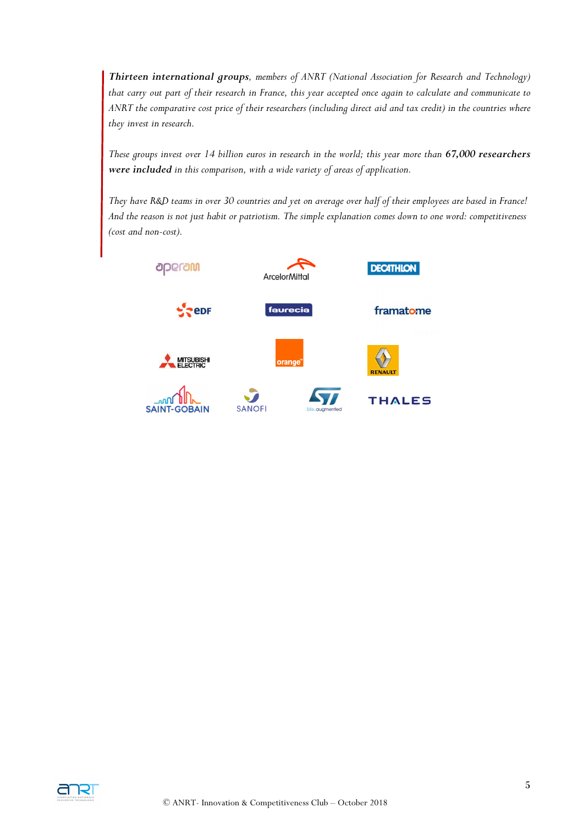*Thirteen international groups, members of ANRT (National Association for Research and Technology) that carry out part of their research in France, this year accepted once again to calculate and communicate to ANRT the comparative cost price of their researchers (including direct aid and tax credit) in the countries where they invest in research.* 

*These groups invest over 14 billion euros in research in the world; this year more than 67,000 researchers were included in this comparison, with a wide variety of areas of application.* 

*They have R&D teams in over 30 countries and yet on average over half of their employees are based in France! And the reason is not just habit or patriotism. The simple explanation comes down to one word: competitiveness (cost and non-cost).*